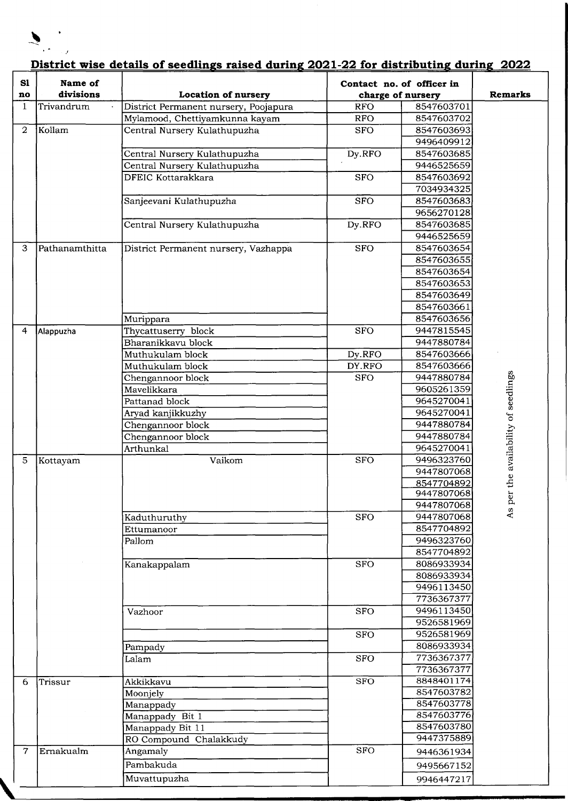

## **District wise details of seedlings raised during 2021-22 for distributing during 2022**

| S1<br>no          | Name of<br>divisions | <b>Location of nursery</b>            | Contact no. of officer in<br>charge of nursery |                          | <b>Remarks</b>                   |
|-------------------|----------------------|---------------------------------------|------------------------------------------------|--------------------------|----------------------------------|
| $\mathbf{1}$      | Trivandrum           | District Permanent nursery, Poojapura | <b>RFO</b>                                     | 8547603701               |                                  |
|                   |                      | Mylamood, Chettiyamkunna kayam        | <b>RFO</b>                                     | 8547603702               |                                  |
| $\overline{2}$    | Kollam               | Central Nursery Kulathupuzha          | <b>SFO</b>                                     | 8547603693               |                                  |
|                   |                      |                                       |                                                | 9496409912               |                                  |
|                   |                      | Central Nursery Kulathupuzha          | Dy.RFO                                         | 8547603685               |                                  |
|                   |                      | Central Nursery Kulathupuzha          |                                                | 9446525659               |                                  |
|                   |                      | <b>DFEIC Kottarakkara</b>             | <b>SFO</b>                                     | 8547603692               |                                  |
|                   |                      |                                       |                                                | 7034934325               |                                  |
|                   |                      | Sanjeevani Kulathupuzha               | <b>SFO</b>                                     | 8547603683               |                                  |
|                   |                      |                                       |                                                | 9656270128               |                                  |
|                   |                      | Central Nursery Kulathupuzha          | Dy.RFO                                         | 8547603685               |                                  |
|                   |                      |                                       |                                                | 9446525659               |                                  |
| 3                 | Pathanamthitta       | District Permanent nursery, Vazhappa  | <b>SFO</b>                                     | 8547603654               |                                  |
|                   |                      |                                       |                                                | 8547603655               |                                  |
|                   |                      |                                       |                                                | 8547603654               |                                  |
|                   |                      |                                       |                                                | 8547603653               |                                  |
|                   |                      |                                       |                                                | 8547603649               |                                  |
|                   |                      |                                       |                                                | 8547603661               |                                  |
|                   |                      | Murippara                             |                                                | 8547603656               |                                  |
| 4                 | Alappuzha            | Thycattuserry block                   | <b>SFO</b>                                     | 9447815545               |                                  |
|                   |                      | Bharanikkavu block                    |                                                | 9447880784               |                                  |
|                   |                      | Muthukulam block                      | $Dy$ .RFO                                      | 8547603666               |                                  |
|                   |                      | Muthukulam block                      | DY.RFO                                         | 8547603666               |                                  |
|                   |                      | Chengannoor block                     | <b>SFO</b>                                     | 9447880784               |                                  |
|                   |                      | Mavelikkara                           |                                                | 9605261359               |                                  |
|                   |                      | Pattanad block                        |                                                | 9645270041               |                                  |
|                   |                      | Aryad kanjikkuzhy                     |                                                | 9645270041               |                                  |
|                   |                      | Chengannoor block                     |                                                | 9447880784               | er the availability of seedlings |
|                   |                      | Chengannoor block<br>Arthunkal        |                                                | 9447880784<br>9645270041 |                                  |
| 5                 | Kottayam             | Vaikom                                | <b>SFO</b>                                     | 9496323760               |                                  |
|                   |                      |                                       |                                                | 9447807068               |                                  |
|                   |                      |                                       |                                                | 8547704892               |                                  |
|                   |                      |                                       |                                                | 9447807068               |                                  |
|                   |                      |                                       |                                                | 9447807068               | As p                             |
|                   |                      | Kaduthuruthy                          | SFO                                            | 9447807068               |                                  |
|                   |                      | Ettumanoor                            |                                                | 8547704892               |                                  |
|                   |                      | Pallom                                |                                                | 9496323760               |                                  |
|                   |                      |                                       |                                                | 8547704892               |                                  |
|                   |                      | Kanakappalam                          | SFO                                            | 8086933934               |                                  |
|                   |                      |                                       |                                                | 8086933934               |                                  |
|                   |                      |                                       |                                                | 9496113450               |                                  |
|                   |                      |                                       |                                                | 7736367377               |                                  |
|                   |                      | Vazhoor                               | <b>SFO</b>                                     | 9496113450               |                                  |
|                   |                      |                                       |                                                | 9526581969               |                                  |
|                   |                      |                                       | SFO                                            | 9526581969               |                                  |
|                   |                      | Pampady                               |                                                | 8086933934               |                                  |
|                   |                      | Lalam                                 | SFO                                            | 7736367377               |                                  |
|                   | Trissur              | Akkikkavu                             |                                                | 7736367377<br>8848401174 |                                  |
| 6                 |                      | Moonjely                              | SFO                                            | 8547603782               |                                  |
|                   |                      | Manappady                             |                                                | 8547603778               |                                  |
|                   |                      | Manappady Bit 1                       |                                                | 8547603776               |                                  |
|                   |                      | Manappady Bit 11                      |                                                | 8547603780               |                                  |
|                   |                      | RO Compound Chalakkudy                |                                                | 9447375889               |                                  |
| $\overline{\tau}$ | Ernakualm            | Angamaly                              | SFO                                            | 9446361934               |                                  |
|                   |                      | Pambakuda                             |                                                | 9495667152               |                                  |
|                   |                      |                                       |                                                |                          |                                  |
|                   |                      | Muvattupuzha                          |                                                | 9946447217               |                                  |